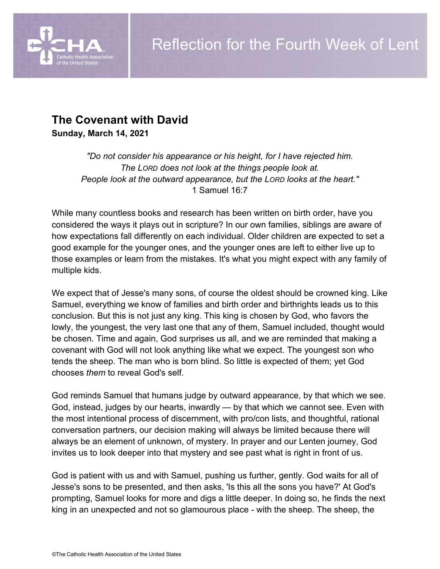

# **The Covenant with David**

**Sunday, March 14, 2021**

*"Do not consider his appearance or his height, for I have rejected him. The LORD does not look at the things people look at. People look at the outward appearance, but the LORD looks at the heart."* 1 Samuel 16:7

While many countless books and research has been written on birth order, have you considered the ways it plays out in scripture? In our own families, siblings are aware of how expectations fall differently on each individual. Older children are expected to set a good example for the younger ones, and the younger ones are left to either live up to those examples or learn from the mistakes. It's what you might expect with any family of multiple kids.

We expect that of Jesse's many sons, of course the oldest should be crowned king. Like Samuel, everything we know of families and birth order and birthrights leads us to this conclusion. But this is not just any king. This king is chosen by God, who favors the lowly, the youngest, the very last one that any of them, Samuel included, thought would be chosen. Time and again, God surprises us all, and we are reminded that making a covenant with God will not look anything like what we expect. The youngest son who tends the sheep. The man who is born blind. So little is expected of them; yet God chooses *them* to reveal God's self.

God reminds Samuel that humans judge by outward appearance, by that which we see. God, instead, judges by our hearts, inwardly — by that which we cannot see. Even with the most intentional process of discernment, with pro/con lists, and thoughtful, rational conversation partners, our decision making will always be limited because there will always be an element of unknown, of mystery. In prayer and our Lenten journey, God invites us to look deeper into that mystery and see past what is right in front of us.

God is patient with us and with Samuel, pushing us further, gently. God waits for all of Jesse's sons to be presented, and then asks, 'Is this all the sons you have?' At God's prompting, Samuel looks for more and digs a little deeper. In doing so, he finds the next king in an unexpected and not so glamourous place - with the sheep. The sheep, the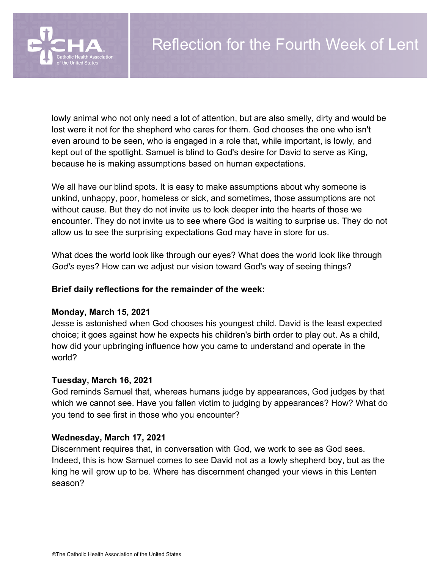

lowly animal who not only need a lot of attention, but are also smelly, dirty and would be lost were it not for the shepherd who cares for them. God chooses the one who isn't even around to be seen, who is engaged in a role that, while important, is lowly, and kept out of the spotlight. Samuel is blind to God's desire for David to serve as King, because he is making assumptions based on human expectations.

We all have our blind spots. It is easy to make assumptions about why someone is unkind, unhappy, poor, homeless or sick, and sometimes, those assumptions are not without cause. But they do not invite us to look deeper into the hearts of those we encounter. They do not invite us to see where God is waiting to surprise us. They do not allow us to see the surprising expectations God may have in store for us.

What does the world look like through our eyes? What does the world look like through *God's* eyes? How can we adjust our vision toward God's way of seeing things?

### **Brief daily reflections for the remainder of the week:**

#### **Monday, March 15, 2021**

Jesse is astonished when God chooses his youngest child. David is the least expected choice; it goes against how he expects his children's birth order to play out. As a child, how did your upbringing influence how you came to understand and operate in the world?

#### **Tuesday, March 16, 2021**

God reminds Samuel that, whereas humans judge by appearances, God judges by that which we cannot see. Have you fallen victim to judging by appearances? How? What do you tend to see first in those who you encounter?

#### **Wednesday, March 17, 2021**

Discernment requires that, in conversation with God, we work to see as God sees. Indeed, this is how Samuel comes to see David not as a lowly shepherd boy, but as the king he will grow up to be. Where has discernment changed your views in this Lenten season?